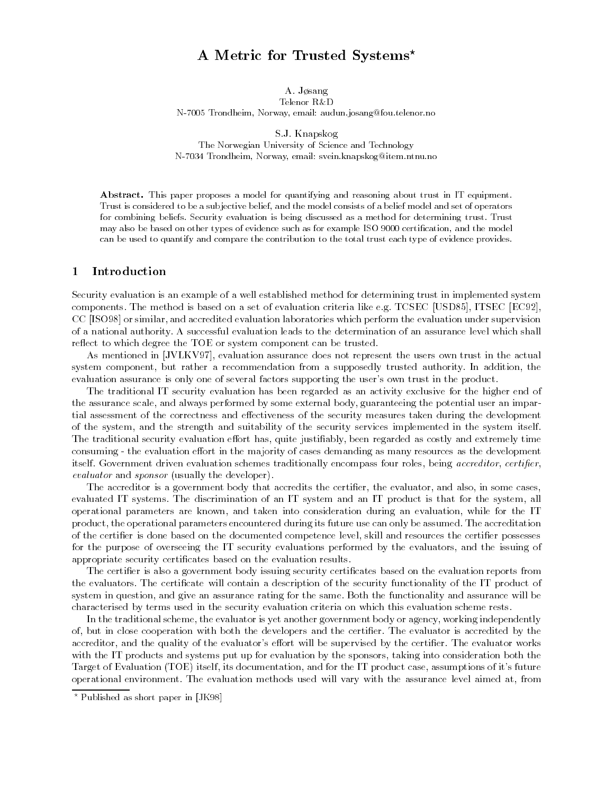# A Metric for Trusted Systems?

A. Jøsang

Telenor R&D

N-7005 Trondheim, Norway, email: audun.josang@fou.telenor.no

S.J. Knapskog

The Norwegian University of Science and Technology N-7034 Trondheim, Norway, email: svein.knapskog@item.ntnu.no

Abstract. This paper proposes a model for quantifying and reasoning about trust in IT equipment. Trust is considered to be a sub jective belief, and the model consists of a belief model and set of operators for combining beliefs. Security evaluation is being discussed as a method for determining trust. Trust may also be based on other types of evidence such as for example ISO 9000 certication, and the model can be used to quantify and compare the contribution to the total trust each type of evidence provides.

#### 1Introduction

Security evaluation is an example of a well established method for determining trust in implemented system components. The method is based on a set of evaluation criteria like e.g. TCSEC [USD85], ITSEC [EC92], CC [ISO98] or similar, and accredited evaluation laboratories which perform the evaluation under supervision of a national authority. A successful evaluation leads to the determination of an assurance level which shall reflect to which degree the TOE or system component can be trusted.

As mentioned in [JVLKV97], evaluation assurance does not represent the users own trust in the actual system component, but rather a recommendation from a supposedly trusted authority. In addition, the evaluation assurance is only one of several factors supporting the user's own trust in the product.

The traditional IT security evaluation has been regarded as an activity exclusive for the higher end of the assurance scale, and always performed by some external body, guaranteeing the potential user an impartial assessment of the correctness and effectiveness of the security measures taken during the development of the system, and the strength and suitability of the security services implemented in the system itself. The traditional security evaluation effort has, quite justifiably, been regarded as costly and extremely time consuming - the evaluation effort in the majority of cases demanding as many resources as the development itself. Government driven evaluation schemes traditionally encompass four roles, being accreditor, certifier, evaluator and sponsor (usually the developer).

The accreditor is a government body that accredits the certifier, the evaluator, and also, in some cases, evaluated IT systems. The discrimination of an IT system and an IT product is that for the system, all operational parameters are known, and taken into consideration during an evaluation, while for the IT product, the operational parameters encountered during its future use can only be assumed. The accreditation of the certifier is done based on the documented competence level, skill and resources the certifier possesses for the purpose of overseeing the IT security evaluations performed by the evaluators, and the issuing of appropriate security certificates based on the evaluation results.

The certifier is also a government body issuing security certificates based on the evaluation reports from the evaluators. The certicate will contain a description of the security functionality of the IT product of system in question, and give an assurance rating for the same. Both the functionality and assurance will be characterised by terms used in the security evaluation criteria on which this evaluation scheme rests.

In the traditional scheme, the evaluator is yet another government body or agency, working independently of, but in close cooperation with both the developers and the certier. The evaluator is accredited by the accreditor, and the quality of the evaluator's effort will be supervised by the certifier. The evaluator works with the IT products and systems put up for evaluation by the sponsors, taking into consideration both the Target of Evaluation (TOE) itself, its documentation, and for the IT product case, assumptions of it's future operational environment. The evaluation methods used will vary with the assurance level aimed at, from

<sup>?</sup> Published as short paper in [JK98]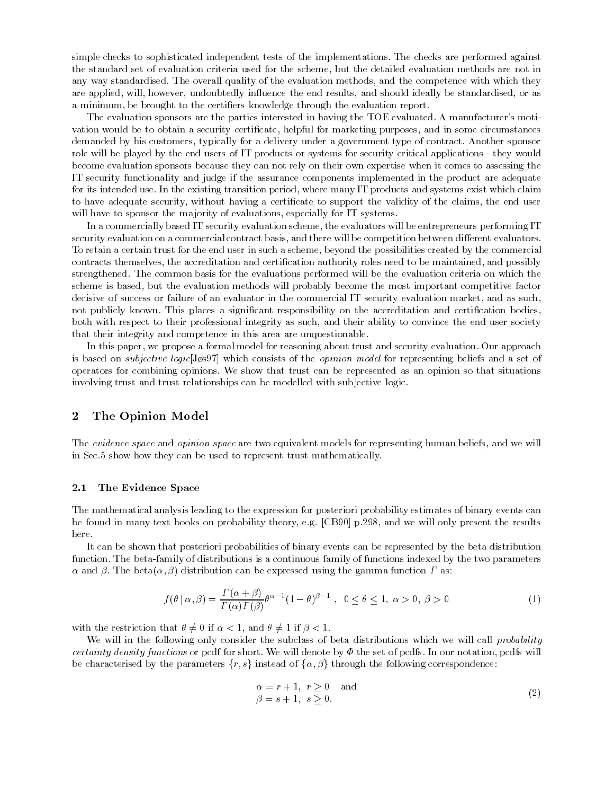simple checks to sophisticated independent tests of the implementations. The checks are performed against the standard set of evaluation criteria used for the scheme, but the detailed evaluation methods are not in any way standardised. The overall quality of the evaluation methods, and the competence with which they are applied, will, however, undoubtedly influence the end results, and should ideally be standardised, or as a minimum, be brought to the certiers knowledge through the evaluation report.

The evaluation sponsors are the parties interested in having the TOE evaluated. A manufacturer's motivation would be to obtain a security certicate, helpful for marketing purposes, and in some circumstances demanded by his customers, typically for a delivery under a government type of contract. Another sponsor role will be played by the end users of IT products or systems for security critical applications - they would become evaluation sponsors because they can not rely on their own expertise when it comes to assessing the IT security functionality and judge if the assurance components implemented in the product are adequate for its intended use. In the existing transition period, where many IT products and systems exist which claim to have adequate security, without having a certificate to support the validity of the claims, the end user will have to sponsor the majority of evaluations, especially for IT systems.

In a commercially based IT security evaluation scheme, the evaluators will be entrepreneurs performing IT security evaluation on a commercial contract basis, and there will be competition between different evaluators. To retain a certain trust for the end user in such a scheme, beyond the possibilities created by the commercial contracts themselves, the accreditation and certication authority roles need to be maintained, and possibly strengthened. The common basis for the evaluations performed will be the evaluation criteria on which the scheme is based, but the evaluation methods will probably become the most important competitive factor decisive of success or failure of an evaluator in the commercial IT security evaluation market, and as such, not publicly known. This places a significant responsibility on the accreditation and certification bodies, both with respect to their professional integrity as such, and their ability to convince the end user society that their integrity and competence in this area are unquestionable.

In this paper, we propose a formal model for reasoning about trust and security evaluation. Our approach is based on *subjective logic*[Jøs97] which consists of the *opinion model* for representing beliefs and a set of operators for combining opinions. We show that trust can be represented as an opinion so that situations involving trust and trust relationships can be modelled with subjective logic.

#### 2The Opinion Model

The evidence space and opinion space are two equivalent models for representing human beliefs, and we will in Sec.5 show how they can be used to represent trust mathematically.

#### 2.1The Evidence Space

The mathematical analysis leading to the expression for posteriori probability estimates of binary events can be found in many text books on probability theory, e.g. [CB90] p.298, and we will only present the results here.

It can be shown that posteriori probabilities of binary events can be represented by the beta distribution function. The beta-family of distributions is a continuous family of functions indexed by the two parameters  $\alpha$  and  $\beta$ . The beta $(\alpha, \beta)$  distribution can be expressed using the gamma function  $\Gamma$  as:

$$
f(\theta \mid \alpha, \beta) = \frac{\Gamma(\alpha + \beta)}{\Gamma(\alpha)\Gamma(\beta)} \theta^{\alpha - 1} (1 - \theta)^{\beta - 1}, \quad 0 \le \theta \le 1, \quad \alpha > 0, \quad \beta > 0
$$
 (1)

with the restriction that  $\theta \neq 0$  if  $\alpha < 1$ , and  $\theta \neq 1$  if  $\beta < 1$ .

We will in the following only consider the subclass of beta distributions which we will call *probability* certainty density functions or pcdf for short. We will denote by  $\Phi$  the set of pcdfs. In our notation, pcdfs will be characterised by the parameters  $\{r, s\}$  instead of  $\{\alpha, \beta\}$  through the following correspondence:

$$
\begin{aligned}\n\alpha &= r + 1, \ r \ge 0 \quad \text{and} \\
\beta &= s + 1, \ s \ge 0.\n\end{aligned} \tag{2}
$$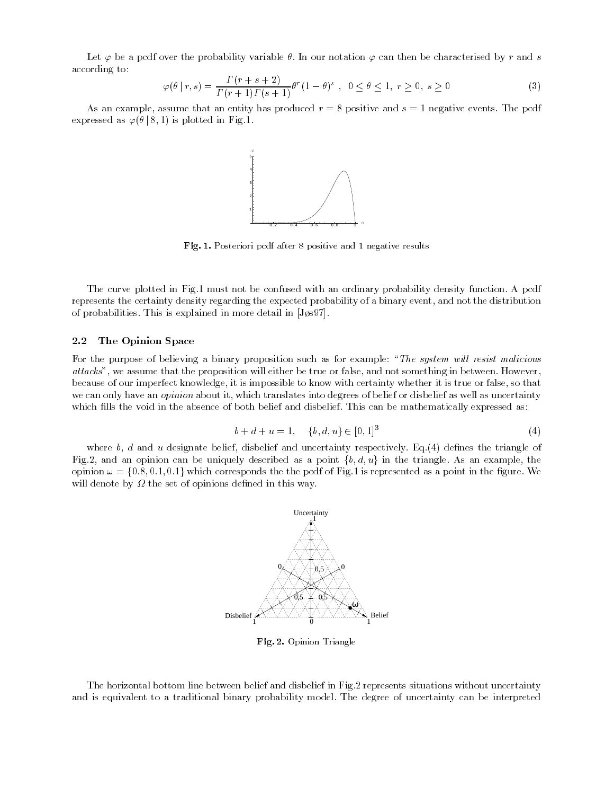Let  $\varphi$  be a pcdf over the probability variable  $\theta$ . In our notation  $\varphi$  can then be characterised by r and s according to:

$$
\varphi(\theta \mid r, s) = \frac{\Gamma(r + s + 2)}{\Gamma(r + 1)\Gamma(s + 1)} \theta^r (1 - \theta)^s , \quad 0 \le \theta \le 1, \ r \ge 0, \ s \ge 0
$$
\n(3)

As an example, assume that an entity has produced  $r = 8$  positive and  $s = 1$  negative events. The pcdf expressed as  $\varphi(\theta \,|\, 8, 1)$  is plotted in Fig.1.



Fig. 1. Posteriori pcdf after 8 positive and 1 negative results

The curve plotted in Fig.1 must not be confused with an ordinary probability density function. A pcdf represents the certainty density regarding the expected probability of a binary event, and not the distribution of probabilities. This is explained in more detail in  $[J\phi s97]$ .

#### 2.2The Opinion Space

For the purpose of believing a binary proposition such as for example: "The system will resist malicious attacks", we assume that the proposition will either be true or false, and not something in between. However, because of our imperfect knowledge, it is impossible to know with certainty whether it is true or false, so that we can only have an *opinion* about it, which translates into degrees of belief or disbelief as well as uncertainty which fills the void in the absence of both belief and disbelief. This can be mathematically expressed as:

$$
b + d + u = 1, \quad \{b, d, u\} \in [0, 1]^3
$$
\n
$$
(4)
$$

where  $b, d$  and u designate belief, disbelief and uncertainty respectively. Eq.(4) defines the triangle of Fig.2, and an opinion can be uniquely described as a point  $\{b, d, u\}$  in the triangle. As an example, the opinion  $\omega = \{0.8, 0.1, 0.1\}$  which corresponds the the pcdf of Fig.1 is represented as a point in the figure. We will denote by the set of opinions defined in this way.



Fig. 2. Opinion Triangle

The horizontal bottom line between belief and disbelief in Fig.2 represents situations without uncertainty and is equivalent to a traditional binary probability model. The degree of uncertainty can be interpreted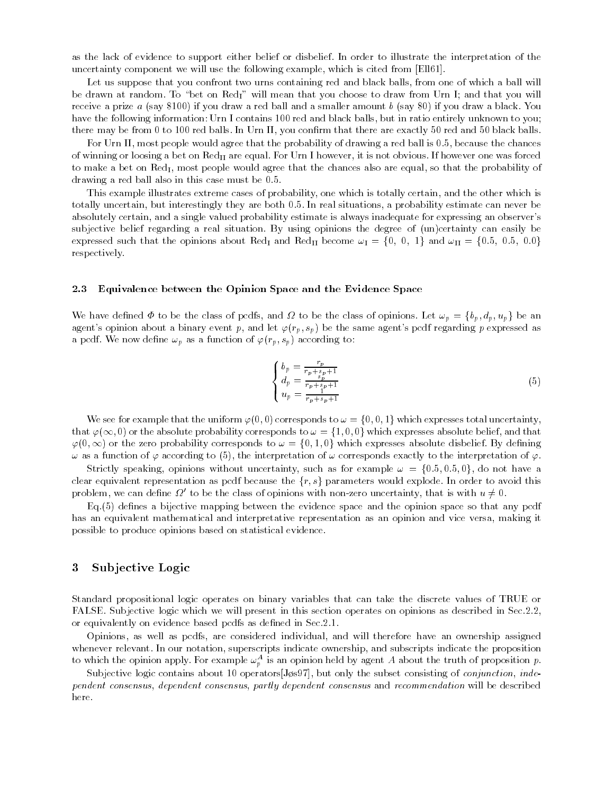as the lack of evidence to support either belief or disbelief. In order to illustrate the interpretation of the uncertainty component we will use the following example, which is cited from [Ell61].

Let us suppose that you confront two urns containing red and black balls, from one of which a ball will be drawn at random. To "bet on Red<sub>I</sub>" will mean that you choose to draw from Urn I; and that you will receive a prize  $a$  (say \$100) if you draw a red ball and a smaller amount  $b$  (say \$0) if you draw a black. You have the following information: Urn I contains 100 red and black balls, but in ratio entirely unknown to you; there may be from 0 to 100 red balls. In Urn II, you confirm that there are exactly 50 red and 50 black balls.

For Urn II, most people would agree that the probability of drawing a red ball is 0.5, because the chances of winning or loosing a bet on  $\text{Red}_{II}$  are equal. For Urn I however, it is not obvious. If however one was forced to make a bet on  $\text{Red}_{I}$ , most people would agree that the chances also are equal, so that the probability of drawing a red ball also in this case must be 0.5.

This example illustrates extreme cases of probability, one which is totally certain, and the other which is totally uncertain, but interestingly they are both 0.5. In real situations, a probability estimate can never be absolutely certain, and a single valued probability estimate is always inadequate for expressing an observer's subjective belief regarding a real situation. By using opinions the degree of (un)certainty can easily be expressed such that the opinions about Red<sub>I</sub> and Red<sub>II</sub> become  $\omega_I = \{0, 0, 1\}$  and  $\omega_{II} = \{0.5, 0.5, 0.0\}$ respectively.

#### 2.3Equivalence between the Opinion Space and the Evidence Space

We have defined  $\Phi$  to be the class of pcdfs, and  $\Omega$  to be the class of opinions. Let  $\omega_p = \{b_p, d_p, u_p\}$  be an agent's opinion about a binary event p, and let  $\varphi(r_p, s_p)$  be the same agent's pcdf regarding p expressed as a pcdf. We now define  $\omega_p$  as a function of  $\varphi(r_p, s_p)$  according to:

$$
\begin{cases}\n b_p = \frac{r_p}{r_p + s_p + 1} \\
 d_p = \frac{s_p}{r_p + s_p + 1} \\
 u_p = \frac{1}{r_p + s_p + 1}\n\end{cases} (5)
$$

We see for example that the uniform  $\varphi(0,0)$  corresponds to  $\omega = \{0,0,1\}$  which expresses total uncertainty, that  $\varphi(\infty, 0)$  or the absolute probability corresponds to  $\omega = \{1, 0, 0\}$  which expresses absolute belief, and that  $\varphi(0,\infty)$  or the zero probability corresponds to  $\omega = \{0,1,0\}$  which expresses absolute disbelief. By defining  $\omega$  as a function of  $\varphi$  according to (5), the interpretation of  $\omega$  corresponds exactly to the interpretation of  $\varphi$ .

Strictly speaking, opinions without uncertainty, such as for example  $\omega = \{0.5, 0.5, 0\}$ , do not have a clear equivalent representation as pcdf because the  $\{r, s\}$  parameters would explode. In order to avoid this problem, we can define  $\varOmega'$  to be the class of opinions with non-zero uncertainty, that is with  $u\neq 0$ .

 $Eq.(5)$  defines a bijective mapping between the evidence space and the opinion space so that any pcdf has an equivalent mathematical and interpretative representation as an opinion and vice versa, making it possible to produce opinions based on statistical evidence.

#### 3Sub jective Logic

Standard propositional logic operates on binary variables that can take the discrete values of TRUE or FALSE. Subjective logic which we will present in this section operates on opinions as described in Sec.2.2, or equivalently on evidence based pcdfs as defined in Sec.2.1.

Opinions, as well as pcdfs, are considered individual, and will therefore have an ownership assigned whenever relevant. In our notation, superscripts indicate ownership, and subscripts indicate the proposition to which the opinion apply. For example  $\omega_p^-$  is an opinion held by agent A about the truth of proposition  $p$ .

Subjective logic contains about 10 operators [Jøs97], but only the subset consisting of conjunction, independent consensus, dependent consensus, partly dependent consensus and recommendation will be described here.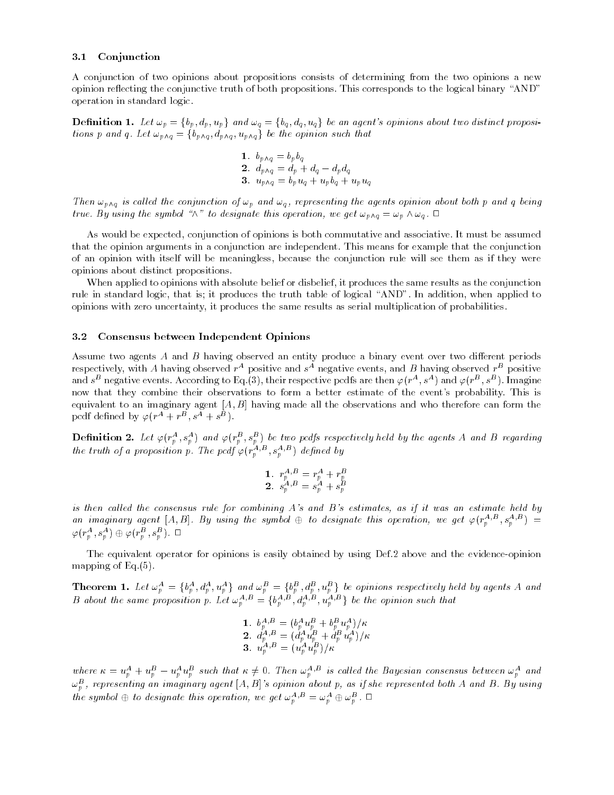#### 3.1Conjunction

A conjunction of two opinions about propositions consists of determining from the two opinions a new opinion reflecting the conjunctive truth of both propositions. This corresponds to the logical binary "AND" operation in standard logic.

**Definition 1.** Let  $\omega_p = \{b_p, d_p, u_p\}$  and  $\omega_q = \{b_q, d_q, u_q\}$  be an agent's opinions about two distinct propositions p and q. Let  $\omega_{p\wedge q} = \{b_{p\wedge q} , d_{p\wedge q} , u_{p\wedge q}\}$  be the opinion such that

1. 
$$
b_{p \wedge q} = b_p b_q
$$
  
\n2.  $d_{p \wedge q} = d_p + d_q - d_p d_q$   
\n3.  $u_{p \wedge q} = b_p u_q + u_p b_q + u_p u_q$ 

Then  $\omega_{p\wedge q}$  is called the conjunction of  $\omega_p$  and  $\omega_q$ , representing the agents opinion about both p and q being true. By using the symbol " $\wedge$ " to designate this operation, we get  $\omega_{p \wedge q} = \omega_p \wedge \omega_q$ .  $\Box$ 

As would be expected, conjunction of opinions is both commutative and associative. It must be assumed that the opinion arguments in a conjunction are independent. This means for example that the conjunction of an opinion with itself will be meaningless, because the conjunction rule will see them as if they were opinions about distinct propositions.

When applied to opinions with absolute belief or disbelief, it produces the same results as the conjunction rule in standard logic, that is; it produces the truth table of logical "AND". In addition, when applied to opinions with zero uncertainty, it produces the same results as serial multiplication of probabilities.

#### 3.2Consensus between Independent Opinions

Assume two agents A and B having observed an entity produce a binary event over two different periods respectively, with A having observed  $r-\text{positive}$  and  $s-\text{negative}$  events, and  $D$  having observed  $r-\text{positive}$ and  $s^{\omega}$  negative events. According to Eq.(3), their respective pcdfs are then  $\varphi(r^*,s^*)$  and  $\varphi(r^*,s^*)$ . Imagine now that they combine their observations to form a better estimate of the event's probability. This is equivalent to an imaginary agent  $[A, B]$  having made all the observations and who therefore can form the pcdf defined by  $\varphi(r^+ + r^- , s^+ + s^-)$ .

**Definition 2.** Let  $\varphi(r_p^-,s_p^-)$  and  $\varphi(r_p^-,s_p^-)$  be two pedfs respectively held by the agents A and B regarding the truth of a proposition p. The pcaf  $\varphi(r_p^{n+1}, s_p^{n+2})$  defined by

1. 
$$
r_p^{A,B} = r_p^A + r_p^B
$$
  
2. 
$$
s_p^{A,B} = s_p^A + s_p^B
$$

is then called the consensus rule for combining  $A$ 's and  $B$ 's estimates, as if it was an estimate held by an imaginary agent  $[A, B]$ . By using the symbol  $\oplus$  to designate this operation, we get  $\varphi(r_p^{a_1D}, s_p^{a_1D}) =$  $\varphi(r^{\scriptscriptstyle\mathcal{A}}_p,s^{\scriptscriptstyle\mathcal{A}}_p)\oplus\varphi(r^{\scriptscriptstyle\mathcal{D}}_p,s^{\scriptscriptstyle\mathcal{D}}_p)$  ,  $\Box$ 

The equivalent operator for opinions is easily obtained by using Def.2 above and the evidence-opinion mapping of Eq.(5).

**Theorem 1.** Let  $\omega_p^A = \{b_p^A, d_p^A, u_p^A\}$  and  $\omega_p^B = \{b_p^B, d_p^B, u_p^B\}$  be opinions respectively held by agents A and B about the same proposition p. Let  $\omega_p^{A,B} = \{b_p^{A,B}, d_p^{A,B}, u_p^{A,B}\}$  be the opinion such that

1. 
$$
b_p^{A,B} = (b_p^A u_p^B + b_p^B u_p^A)/\kappa
$$
  
\n2.  $d_p^{A,B} = (d_p^A u_p^B + d_p^B u_p^A)/\kappa$   
\n3.  $u_p^{A,B} = (u_p^A u_p^B)/\kappa$ 

where  $\kappa = u_p^A + u_p^B - u_p^A u_p^B$  such that  $\kappa \neq 0$ . Then  $\omega_p^{A,B}$  is called the Bayesian consensus between  $\omega_p^A$  and  $\omega^B_p$ , representing an imaginary agent  $[A,B]$ 's opinion about p, as if she represented both A and B. By using the symbol  $\oplus$  to designate this operation, we get  $\omega_p^{A,B} = \omega_p^A \oplus \omega_p^B$ .  $\Box$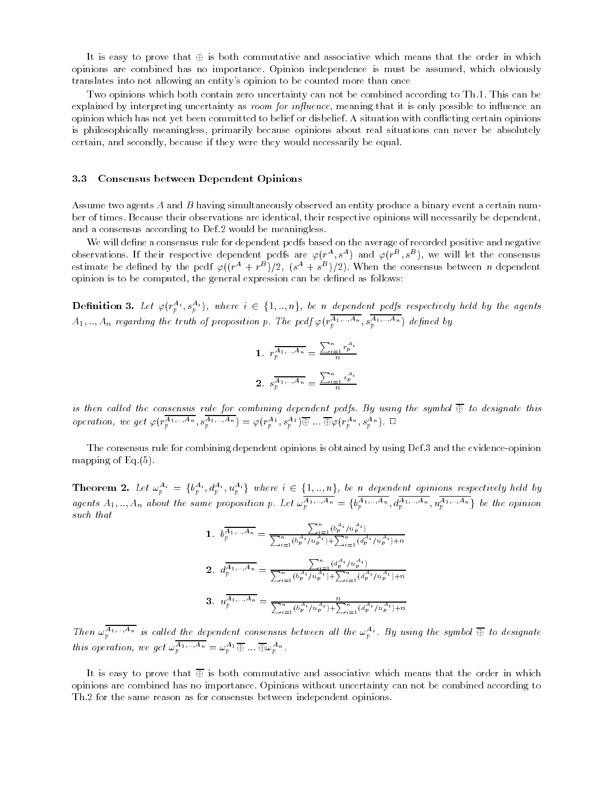It is easy to prove that  $\oplus$  is both commutative and associative which means that the order in which opinions are combined has no importance. Opinion independence is must be assumed, which obviously translates into not allowing an entity's opinion to be counted more than once

Two opinions which both contain zero uncertainty can not be combined according to Th.1. This can be explained by interpreting uncertainty as *room for influence*, meaning that it is only possible to influence an opinion which has not yet been committed to belief or disbelief. A situation with con
icting certain opinions is philosophically meaningless, primarily because opinions about real situations can never be absolutely certain, and secondly, because if they were they would necessarily be equal.

#### 3.3Consensus between Dependent Opinions

Assume two agents A and B having simultaneously observed an entity produce a binary event a certain number of times. Because their observations are identical, their respective opinions will necessarily be dependent, and a consensus according to Def.2 would be meaningless.

We will define a consensus rule for dependent pcdfs based on the average of recorded positive and negative observations. If their respective dependent pcdfs are  $\varphi(r^*,s^*)$  and  $\varphi(r^*,s^*)$ , we will let the consensus estimate be defined by the pcdf  $\varphi((r^*+r^2)/2,~(s^*+s^2)/2).$  When the consensus between  $n$  dependent opinion is to be computed, the general expression can be dened as follows:

**Definition 3.** Let  $\varphi(r_p^{A_i}, s_p^{A_i})$ , where  $i \in \{1, ..., n\}$ , be n dependent pedfs respectively held by the agents  $A_1, ..., A_n$  regarding the truth of proposition p. The pcdf  $\varphi(r_p^{n_1},...,s_p^{n_1},...,s_p^{n_p})$  defined by

1. 
$$
r_p^{\overline{A_{1,\dots,A_n}}} = \frac{\sum_{i=1}^n r_p^{A_i}}{n}
$$
  
2.  $s_p^{\overline{A_{1,\dots,A_n}}} = \frac{\sum_{i=1}^n s_p^{A_i}}{n}$ 

is then called the consensus rule for combining dependent pcdfs. By using the symbol  $\oplus$  to designate this operation, we get  $\varphi(r_p^{A_1,\dots,A_n},s_p^{A_1,\dots,A_n}) = \varphi(r_p^{A_1},s_p^{A_1}) \oplus \dots \oplus \varphi(r_p^{A_n},s_p^{A_n}).$ 

The consensus rule for combining dependent opinions is obtained by using Def.3 and the evidence-opinion mapping of Eq.(5).

**Theorem 2.** Let  $\omega_p^{A_i} = \{b_p^{A_i}, d_p^{A_i}, u_p^{A_i}\}$  where  $i \in \{1, ..., n\}$ , be n dependent opinions respectively held by agents  $A_1, ..., A_n$  about the same proposition p. Let  $\omega_p^{A_1, ..., A_n} = \{b_p^{A_1, ..., A_n}, d_p^{A_1, ..., A_n}, u_p^{A_1, ..., A_n}\}$  be the opinion such that

1. 
$$
b_p^{\overline{A_1,\ldots A_n}} = \frac{\sum_{i=1}^n (b_p^{A_i}/u_p^{A_i})}{\sum_{i=1}^n (b_p^{A_i}/u_p^{A_i}) + \sum_{i=1}^n (d_p^{A_i}/u_p^{A_i}) + n}
$$
  
\n2. 
$$
d_p^{\overline{A_1,\ldots A_n}} = \frac{\sum_{i=1}^n (d_p^{A_i}/u_p^{A_i})}{\sum_{i=1}^n (b_p^{A_i}/u_p^{A_i}) + \sum_{i=1}^n (d_p^{A_i}/u_p^{A_i}) + n}
$$
  
\n3. 
$$
u_p^{\overline{A_1,\ldots A_n}} = \frac{n}{\sum_{i=1}^n (b_p^{A_i}/u_p^{A_i}) + \sum_{i=1}^n (d_p^{A_i}/u_p^{A_i}) + n}
$$

Then  $\omega_p^{A_1,\ldots,A_n}$  is called the dependent consensus between all the  $\omega_p^{A_1}$ . By using the symbol  $\oplus$  to designate this operation, we get  $\omega_p^{A_1,\ldots,A_n} = \omega_p^{A_1} \oplus \ldots \oplus \omega_p^{A_n}$ .

It is easy to prove that  $\overline{\oplus}$  is both commutative and associative which means that the order in which opinions are combined has no importance. Opinions without uncertainty can not be combined according to Th.2 for the same reason as for consensus between independent opinions.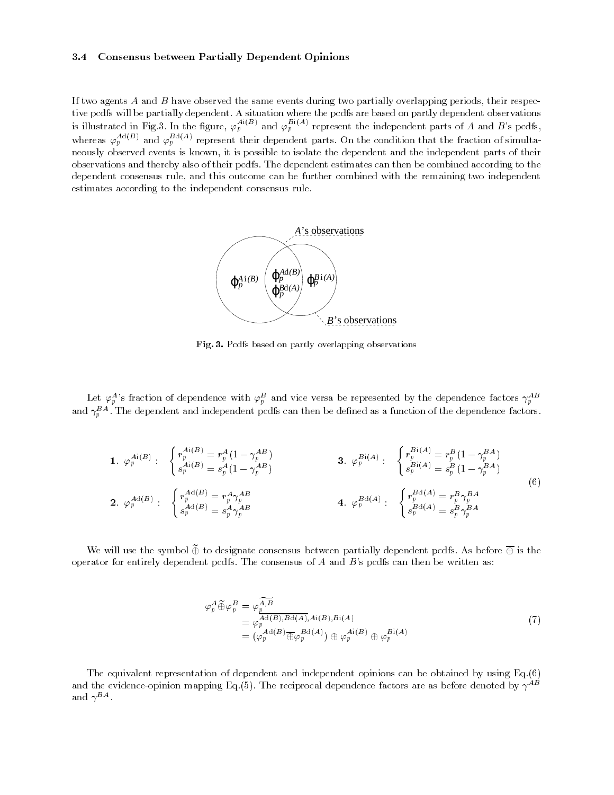#### 3.4Consensus between Partially Dependent Opinions

If two agents  $A$  and  $B$  have observed the same events during two partially overlapping periods, their respective pcdfs will be partially dependent. A situation where the pcdfs are based on partly dependent observations is illustrated in Fig.3. In the figure,  $\varphi_p^{A_i(B)}$  and  $\varphi_p^{B_i(A)}$  represent the independent parts of A and B's pcdfs, whereas  $\varphi_p^{--,-}$  and  $\varphi_p^{--}$  represent their dependent parts. On the condition that the fraction of simultaneously observed events is known, it is possible to isolate the dependent and the independent parts of their observations and thereby also of their pcdfs. The dependent estimates can then be combined according to the dependent consensus rule, and this outcome can be further combined with the remaining two independent estimates according to the independent consensus rule.



Fig. 3. Pcdfs based on partly overlapping observations

Let  $\varphi_p^A$ 's fraction of dependence with  $\varphi_p^B$  and vice versa be represented by the dependence factors  $\gamma_p^{AB}$ .<br>and  $\gamma_p^{BA}$ . The dependent and independent pcdfs can then be defined as a function of the dependence f

1. 
$$
\varphi_p^{Ai(B)}:
$$
 
$$
\begin{cases}\nr_p^{Ai(B)} = r_p^A (1 - \gamma_p^{AB}) \\
s_p^{Ai(B)} = s_p^A (1 - \gamma_p^{AB})\n\end{cases}
$$
\n3.  $\varphi_p^{Bi(A)}:$  
$$
\begin{cases}\nr_p^{Bi(A)} = r_p^B (1 - \gamma_p^{BA}) \\
s_p^{Bi(A)} = s_p^B (1 - \gamma_p^{BA})\n\end{cases}
$$
\n4.  $\varphi_p^{Bd(A)}:$  
$$
\begin{cases}\nr_p^{Bd(A)} = r_p^B \gamma_p^{BA} \\
s_p^{Bd(A)} = r_p^B \gamma_p^{BA}\n\end{cases}
$$
\n(6)

We will use the symbol  $\widetilde{\oplus}$  to designate consensus between partially dependent pcdfs. As before  $\overline{\oplus}$  is the operator for entirely dependent pcdfs. The consensus of  $A$  and  $B$ 's pcdfs can then be written as:

$$
\varphi_p^A \widetilde{\oplus} \varphi_p^B = \varphi_p^{\widetilde{A,B}} \n= \varphi_p^{A \mathbf{d}(B), B \mathbf{d}(A), A\mathbf{i}(B), B\mathbf{i}(A)} \n= (\varphi_p^{A \mathbf{d}(B)} \overline{\oplus} \varphi_p^{B \mathbf{d}(A)}) \oplus \varphi_p^{A\mathbf{i}(B)} \oplus \varphi_p^{B\mathbf{i}(A)}
$$
\n(7)

The equivalent representation of dependent and independent opinions can be obtained by using Eq.(6) and the evidence-opinion mapping Eq.(5). The reciprocal dependence factors are as before denoted by  $\gamma^{AB}$ and  $\gamma$  –  $\blacksquare$  .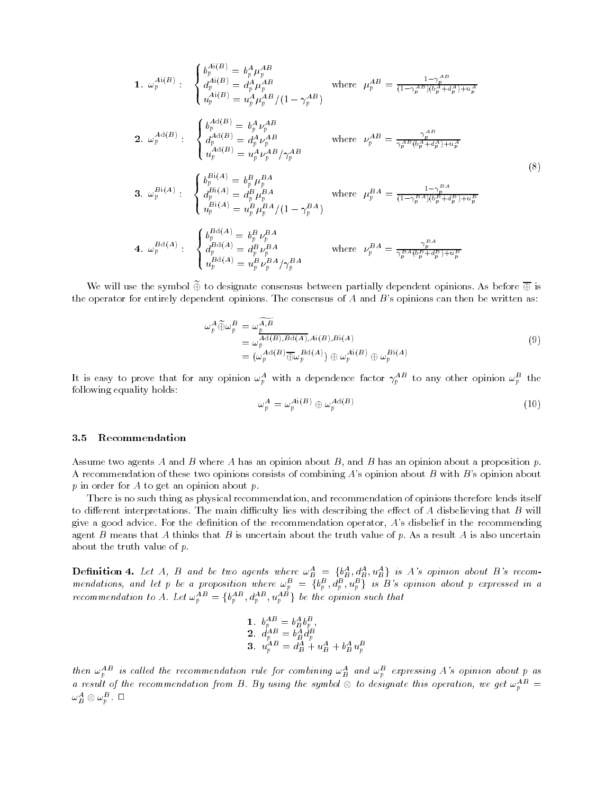1. 
$$
\omega_p^{Ai(B)}:
$$
  $\begin{cases}\n b_p^{Ai(B)} = b_p^A \mu_p^{AB} \\
 d_p^{Ai(B)} = d_p^A \mu_p^{AB} \\
 u_p^{Ai(B)} = u_p^A \mu_p^{AB} / (1 - \gamma_p^{AB})\n\end{cases}$  where  $\mu_p^{AB} = \frac{1 - \gamma_p^{AB}}{(1 - \gamma_p^{AB})(b_p^A + d_p^A) + u_p^A}$   
\n2.  $\omega_p^{Ad(B)}:$   $\begin{cases}\n b_p^{Ad(B)} = b_p^A \nu_p^{AB} \\
 d_p^{Ad(B)} = d_p^A \nu_p^{AB} \\
 u_p^{Ad(B)} = u_p^A \nu_p^{AB} / \gamma_p^{AB}\n\end{cases}$  where  $\nu_p^{AB} = \frac{\gamma_p^{AB}}{\gamma_p^{AB}(b_p^A + d_p^A) + u_p^A}$   
\n3.  $\omega_p^{Bi(A)}:$   $\begin{cases}\n b_p^{Bi(A)} = b_p^B \mu_p^{BA} \\
 d_p^{Bi(A)} = d_p^B \mu_p^{BA} \\
 u_p^{Bi(A)} = u_p^B \mu_p^{BA} / (1 - \gamma_p^{BA})\n\end{cases}$  where  $\mu_p^{BA} = \frac{1 - \gamma_p^{BA}}{(1 - \gamma_p^{BA})(b_p^B + d_p^B) + u_p^B}$   
\n4.  $\omega_p^{Bd(A)}:$   $\begin{cases}\n b_p^{Bd(A)} = b_p^B \nu_p^{BA} \\
 d_p^{Bd(A)} = d_p^B \nu_p^{BA} \\
 u_p^{Bd(A)} = u_p^B \nu_p^{BA} \\
 u_p^{Bd(A)} = u_p^B \nu_p^{BA} / \gamma_p^{BA}\n\end{cases}$  where  $\nu_p^{BA} = \frac{\gamma_p^{BA}}{\gamma_p^{BA}(b_p^B + d_p^B) + u_p^B}$ 

We will use the symbol  $\widetilde{\oplus}$  to designate consensus between partially dependent opinions. As before  $\overline{\oplus}$  is the operator for entirely dependent opinions. The consensus of A and B's opinions can then be written as:

$$
\omega_p^A \widetilde{\oplus} \omega_p^B = \omega_p^{\widetilde{A}, \widetilde{B}} \n= \omega_p^{A \mathrm{d}(B), B \mathrm{d}(A), A \mathrm{i}(B), B \mathrm{i}(A)} \n= (\omega_p^{A \mathrm{d}(B)} \overline{\oplus} \omega_p^{B \mathrm{d}(A)}) \oplus \omega_p^{A \mathrm{i}(B)} \oplus \omega_p^{B \mathrm{i}(A)}
$$
\n(9)

It is easy to prove that for any opinion  $\omega_p$  with a dependence factor  $\gamma_p$  - to any other opinion  $\omega_p$  the following equality holds:

$$
\omega_p^A = \omega_p^{Ai(B)} \oplus \omega_p^{Ad(B)} \tag{10}
$$

#### 3.5Recommendation

Assume two agents A and B where A has an opinion about B, and B has an opinion about a proposition  $p$ . A recommendation of these two opinions consists of combining A's opinion about B with B's opinion about  $p$  in order for  $A$  to get an opinion about  $p$ .

There is no such thing as physical recommendation, and recommendation of opinions therefore lends itself to different interpretations. The main difficulty lies with describing the effect of A disbelieving that  $B$  will give a good advice. For the definition of the recommendation operator, A's disbelief in the recommending agent B means that A thinks that B is uncertain about the truth value of p. As a result A is also uncertain about the truth value of p.

**Definition 4.** Let A, B and be two agents where  $\omega_B^A = \{b_A^A, d_B^A, u_B^A\}$  is A's opinion about B's recommendations, and let p be a proposition where  $\omega_p^B = \{b_p^B, d_p^B, u_p^B\}$  is B's opinion about p expressed in a recommendation to A. Let  $\omega_p^{AB} = \{b_p^{AB}, d_p^{AB}, u_p^{AB}\}$  be the opinion such that

1. 
$$
b_p^{AB} = b_B^Ab_p^B
$$
,  
\n2.  $d_{p_A B}^{AB} = b_B^A d_p^B$   
\n3.  $u_p^AB = d_B^A + u_B^A + b_B^A u_p^B$ 

then  $\omega_p^{AB}$  is called the recommendation rule for combining  $\omega_B^A$  and  $\omega_p^B$  expressing A's opinion about p as a result of the recommendation from B. By using the symbol  $\otimes$  to designate this operation, we get  $\omega_p^{AD} =$  $\omega_B^{\boldsymbol{A}}\otimes\omega_p^{\boldsymbol{B}}$  ,  $\Box$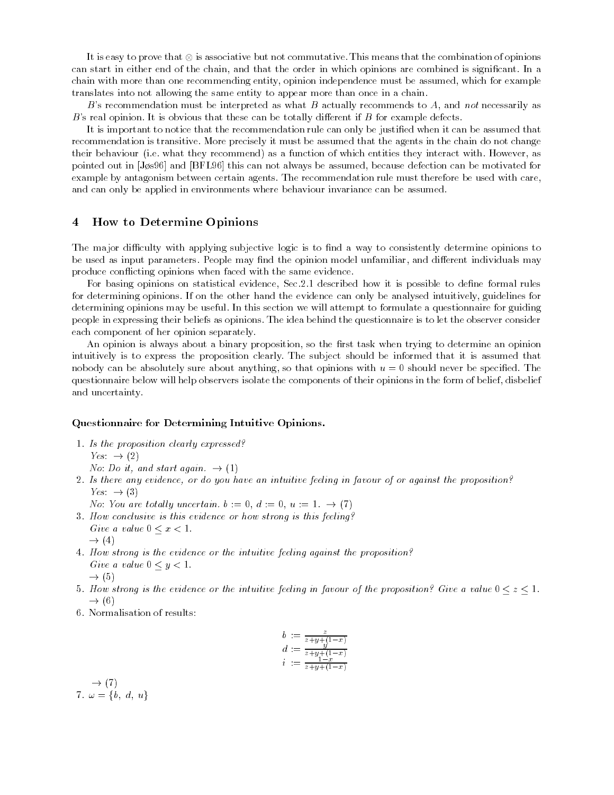It is easy to prove that  $\otimes$  is associative but not commutative. This means that the combination of opinions can start in either end of the chain, and that the order in which opinions are combined is signicant. In a chain with more than one recommending entity, opinion independence must be assumed, which for example translates into not allowing the same entity to appear more than once in a chain.

B's recommendation must be interpreted as what B actually recommends to A, and not necessarily as  $B$ 's real opinion. It is obvious that these can be totally different if  $B$  for example defects.

It is important to notice that the recommendation rule can only be justied when it can be assumed that recommendation is transitive. More precisely it must be assumed that the agents in the chain do not change their behaviour (i.e. what they recommend) as a function of which entities they interact with. However, as pointed out in [Js96] and [BFL96] this can not always be assumed, because defection can be motivated for example by antagonism between certain agents. The recommendation rule must therefore be used with care, and can only be applied in environments where behaviour invariance can be assumed.

#### 4How to Determine Opinions

The major difficulty with applying subjective logic is to find a way to consistently determine opinions to be used as input parameters. People may find the opinion model unfamiliar, and different individuals may produce conflicting opinions when faced with the same evidence.

For basing opinions on statistical evidence, Sec.2.1 described how it is possible to define formal rules for determining opinions. If on the other hand the evidence can only be analysed intuitively, guidelines for determining opinions may be useful. In this section we will attempt to formulate a questionnaire for guiding people in expressing their beliefs as opinions. The idea behind the questionnaire is to let the observer consider each component of her opinion separately.

An opinion is always about a binary proposition, so the first task when trying to determine an opinion intuitively is to express the proposition clearly. The subject should be informed that it is assumed that nobody can be absolutely sure about anything, so that opinions with  $u=0$  should never be specified. The questionnaire below will help observers isolate the components of their opinions in the form of belief, disbelief and uncertainty.

### Questionnaire for Determining Intuitive Opinions.

1. Is the proposition clearly expressed?  $Yes. \rightarrow (2)$ 

No: Do it, and start again.  $\rightarrow$  (1)

- 2. Is there any evidence, or do you have an intuitive feeling in favour of or against the proposition? Yes:  $\rightarrow$  (3)
	- No: You are totally uncertain.  $b := 0, d := 0, u := 1. \rightarrow (7)$
- 3. How conclusive is this evidence or how strong is this feeling? Give a value  $0 \leq x \leq 1$ .
	- $\rightarrow$  (4)
- 4. How strong is the evidence or the intuitive feeling against the proposition? Give a value  $0 \leq y \leq 1$ .  $\rightarrow$  (5)
- 5. How strong is the evidence or the intuitive feeling in favour of the proposition? Give a value  $0 \le z \le 1$ .  $\rightarrow$  (6)
- 6. Normalisation of results:

$$
b := \frac{z}{z+y+(1-x)} \n d := \frac{y}{z+y+(1-x)} \n i := \frac{1-x}{z+y+(1-x)}
$$

 $\rightarrow$  (7) 7.  $\omega = \{b, d, u\}$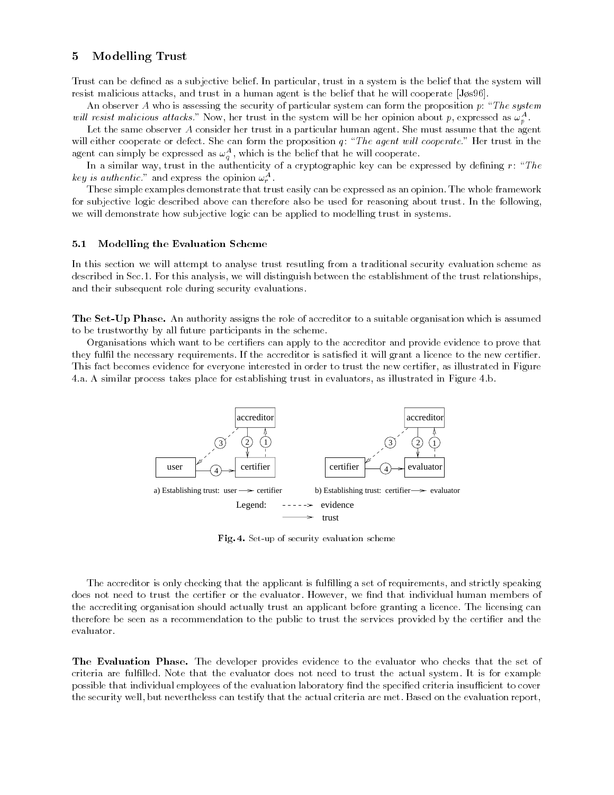#### 5Modelling Trust

Trust can be dened as a subjective belief. In particular, trust in a system is the belief that the system will resist malicious attacks, and trust in a human agent is the belief that he will cooperate  $[J\phi s96]$ .

An observer A who is assessing the security of particular system can form the proposition  $p$ : "The system" while resist maticious attacks. Now, her trust in the system will be her opinion about p, expressed as  $\omega_p^{\perp}$ .

Let the same observer A consider her trust in a particular human agent. She must assume that the agent will either cooperate or defect. She can form the proposition  $q$ : "The agent will cooperate." Her trust in the agent can simply be expressed as  $\omega_{\sigma}^{-}$ , which is the belief that he will cooperate.

In a similar way, trust in the authenticity of a cryptographic key can be expressed by defining  $r: \,^{\circ} The$ key is aumentic. and express the opinion  $\omega_r^{\perp}$ .

These simple examples demonstrate that trust easily can be expressed as an opinion. The whole framework for subjective logic described above can therefore also be used for reasoning about trust. In the following, we will demonstrate how subjective logic can be applied to modelling trust in systems.

#### 5.1Modelling the Evaluation Scheme

In this section we will attempt to analyse trust resutling from a traditional security evaluation scheme as described in Sec.1. For this analysis, we will distinguish between the establishment of the trust relationships, and their subsequent role during security evaluations.

The Set-Up Phase. An authority assigns the role of accreditor to a suitable organisation which is assumed to be trustworthy by all future participants in the scheme.

Organisations which want to be certiers can apply to the accreditor and provide evidence to prove that they fulfil the necessary requirements. If the accreditor is satisfied it will grant a licence to the new certifier. This fact becomes evidence for everyone interested in order to trust the new certifier, as illustrated in Figure 4.a. A similar process takes place for establishing trust in evaluators, as illustrated in Figure 4.b.



Fig. 4. Set-up of security evaluation scheme

The accreditor is only checking that the applicant is fullling a set of requirements, and strictly speaking does not need to trust the certifier or the evaluator. However, we find that individual human members of the accrediting organisation should actually trust an applicant before granting a licence. The licensing can therefore be seen as a recommendation to the public to trust the services provided by the certier and the evaluator.

The Evaluation Phase. The developer provides evidence to the evaluator who checks that the set of criteria are fullled. Note that the evaluator does not need to trust the actual system. It is for example possible that individual employees of the evaluation laboratory find the specified criteria insufficient to cover the security well, but nevertheless can testify that the actual criteria are met. Based on the evaluation report,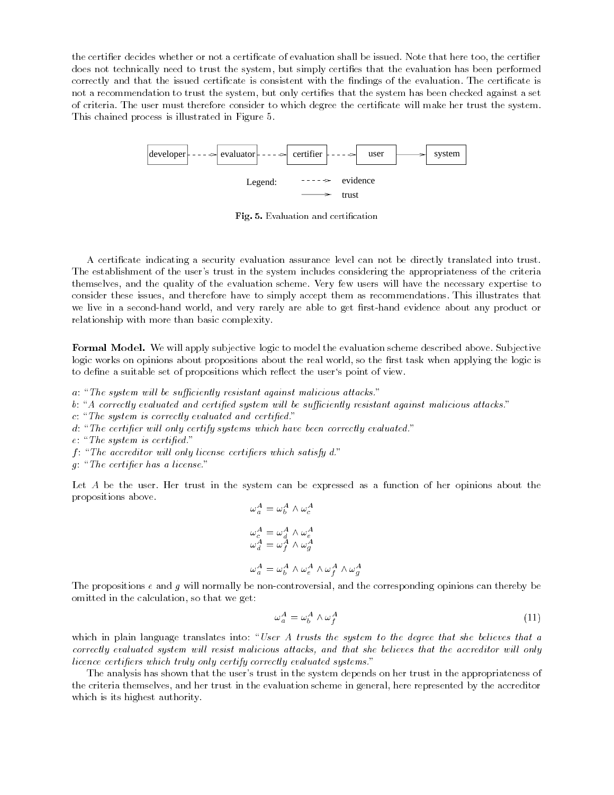the certifier decides whether or not a certificate of evaluation shall be issued. Note that here too, the certifier does not technically need to trust the system, but simply certies that the evaluation has been performed correctly and that the issued certificate is consistent with the findings of the evaluation. The certificate is not a recommendation to trust the system, but only certies that the system has been checked against a set of criteria. The user must therefore consider to which degree the certicate will make her trust the system. This chained process is illustrated in Figure 5.



Fig. 5. Evaluation and certification

A certicate indicating a security evaluation assurance level can not be directly translated into trust. The establishment of the user's trust in the system includes considering the appropriateness of the criteria themselves, and the quality of the evaluation scheme. Very few users will have the necessary expertise to consider these issues, and therefore have to simply accept them as recommendations. This illustrates that we live in a second-hand world, and very rarely are able to get first-hand evidence about any product or relationship with more than basic complexity.

Formal Model. We will apply subjective logic to model the evaluation scheme described above. Subjective logic works on opinions about propositions about the real world, so the first task when applying the logic is to define a suitable set of propositions which reflect the user's point of view.

 $a:$  "The system will be sufficiently resistant against malicious attacks."

b: "A correctly evaluated and certified system will be sufficiently resistant against malicious attacks."

 $c: "The system is correctly evaluated and certified."$ 

 $d$ : "The certifier will only certify systems which have been correctly evaluated."

 $e: "The system is certified."$ 

 $f$ : "The accreditor will only license certifiers which satisfy  $d$ ."

 $g$ : "The certifier has a license."

Let A be the user. Her trust in the system can be expressed as a function of her opinions about the propositions above.

$$
\omega_a^A = \omega_b^A \wedge \omega_c^A
$$
  
\n
$$
\omega_c^A = \omega_d^A \wedge \omega_e^A
$$
  
\n
$$
\omega_d^A = \omega_f^A \wedge \omega_g^A
$$
  
\n
$$
\omega_a^A = \omega_b^A \wedge \omega_e^A \wedge \omega_f^A \wedge \omega_g^A
$$

The propositions  $e$  and  $g$  will normally be non-controversial, and the corresponding opinions can thereby be omitted in the calculation, so that we get:

$$
\omega_a^A = \omega_b^A \wedge \omega_f^A \tag{11}
$$

which in plain language translates into: "User A trusts the system to the degree that she believes that a correctly evaluated system will resist malicious attacks, and that she believes that the accreditor will only licence certifiers which truly only certify correctly evaluated systems."

The analysis has shown that the user's trust in the system depends on her trust in the appropriateness of the criteria themselves, and her trust in the evaluation scheme in general, here represented by the accreditor which is its highest authority.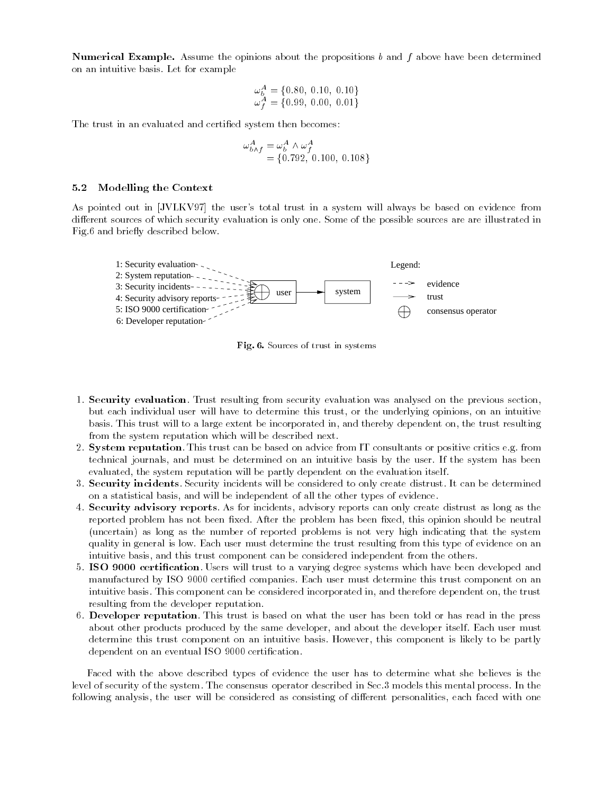$N$ umerical Example. Assume the opinions about the propositions  $\theta$  and  $f$  above have been determined on an intuitive basis. Let for example

$$
\begin{array}{l}\n\omega_b^A = \{0.80, 0.10, 0.10\} \\
\omega_f^A = \{0.99, 0.00, 0.01\}\n\end{array}
$$

The trust in an evaluated and certified system then becomes:

$$
\begin{array}{l}\n\omega_{b \wedge f}^{A} = \omega_b^A \wedge \omega_f^A \\
= \{0.792, 0.100, 0.108\}\n\end{array}
$$

#### 5.2Modelling the Context

As pointed out in [JVLKV97] the user's total trust in a system will always be based on evidence from different sources of which security evaluation is only one. Some of the possible sources are are illustrated in Fig.6 and briefly described below.



Fig. 6. Sources of trust in systems

- 1. Security evaluation. Trust resulting from security evaluation was analysed on the previous section, but each individual user will have to determine this trust, or the underlying opinions, on an intuitive basis. This trust will to a large extent be incorporated in, and thereby dependent on, the trust resulting from the system reputation which will be described next.
- 2. System reputation. This trust can be based on advice from IT consultants or positive critics e.g. from technical journals, and must be determined on an intuitive basis by the user. If the system has been evaluated, the system reputation will be partly dependent on the evaluation itself.
- 3. Security incidents. Security incidents will be considered to only create distrust. It can be determined on a statistical basis, and will be independent of all the other types of evidence.
- 4. Security advisory reports. As for incidents, advisory reports can only create distrust as long as the reported problem has not been fixed. After the problem has been fixed, this opinion should be neutral (uncertain) as long as the number of reported problems is not very high indicating that the system quality in general is low. Each user must determine the trust resulting from this type of evidence on an intuitive basis, and this trust component can be considered independent from the others.
- 5. ISO 9000 certication. Users will trust to a varying degree systems which have been developed and manufactured by ISO 9000 certied companies. Each user must determine this trust component on an intuitive basis. This component can be considered incorporated in, and therefore dependent on, the trust resulting from the developer reputation.
- 6. Developer reputation. This trust is based on what the user has been told or has read in the press about other products produced by the same developer, and about the developer itself. Each user must determine this trust component on an intuitive basis. However, this component is likely to be partly dependent on an eventual ISO 9000 certification.

Faced with the above described types of evidence the user has to determine what she believes is the level of security of the system. The consensus operator described in Sec.3 models this mental process. In the following analysis, the user will be considered as consisting of different personalities, each faced with one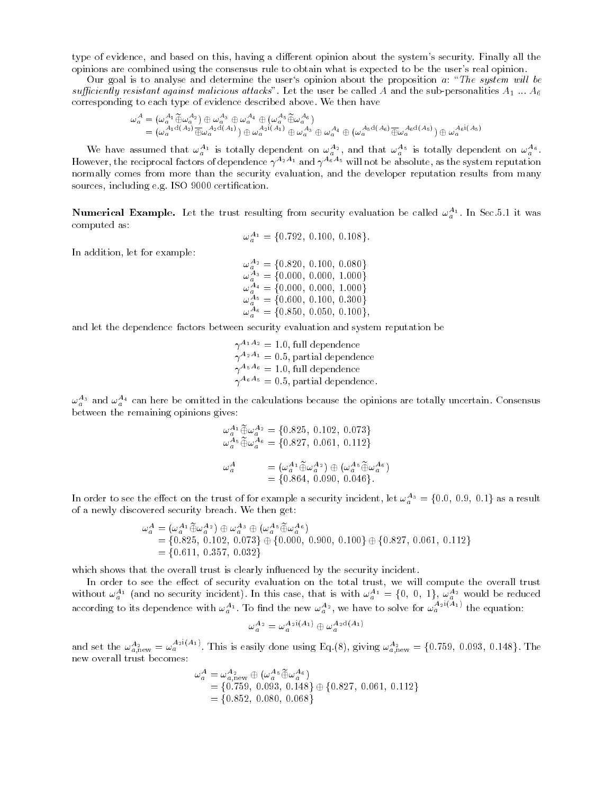type of evidence, and based on this, having a different opinion about the system's security. Finally all the opinions are combined using the consensus rule to obtain what is expected to be the user's real opinion.

Our goal is to analyse and determine the user's opinion about the proposition  $a: \mathscr{L}$  The system will be sufficiently resistant against malicious attacks". Let the user be called A and the sub-personalities  $A_1 ... A_6$ corresponding to each type of evidence described above. We then have

$$
\begin{split} \omega_a^A &= \left(\omega_a^{A_1} \widetilde{\oplus} \omega_a^{A_2}\right) \oplus \omega_a^{A_3} \oplus \omega_a^{A_4} \oplus \left(\omega_a^{A_5} \widetilde{\oplus} \omega_a^{A_6}\right) \\ &= \left(\omega_a^{A_1 d(A_2)} \overline{\oplus} \omega_a^{A_2 d(A_1)}\right) \oplus \omega_a^{A_2 i(A_1)} \oplus \omega_a^{A_3} \oplus \omega_a^{A_4} \oplus \left(\omega_a^{A_5 d(A_6)} \overline{\oplus} \omega_a^{A_6 d(A_5)}\right) \oplus \omega_a^{A_6 i(A_5)} \end{split}
$$

We have assumed that  $\omega_a^{-1}$  is totally dependent on  $\omega_a^{-2}$ , and that  $\omega_a^{-3}$  is totally dependent on  $\omega_a^{-3}$ . However, the reciprocal factors of dependence  $\gamma$   $\rightarrow$   $\rightarrow$  and  $\gamma$   $\rightarrow$   $\rightarrow$  will not be absolute, as the system reputation normally comes from more than the security evaluation, and the developer reputation results from many sources, including e.g. ISO 9000 certification.

**Numerical Example.** Let the trust resulting from security evaluation be called  $\omega_a$  . In Sec.5.1 it was computed as:

$$
\omega_a^{A_1} = \{0.792, 0.100, 0.108\}.
$$

In addition, let for example:

 $\omega_a^{A_2} = \{0.820,\ 0.100,\ 0.080\}$  $\omega_a^{A_3} = \{0.000,\ 0.000,\ 1.000\}$  $\omega_a^{A_4} = \{0.000,\ 0.000,\ 1.000\}$  $\omega_a^{A_5} = \{0.600,\ 0.100,\ 0.300\}$  $\omega_a^{A_6} = \{0.850, 0.050, 0.100\},$ 

and let the dependence factors between security evaluation and system reputation be

 $\gamma^{A_1A_2} = 1.0$ , full dependence  $\gamma$   $\rightarrow$   $\pm$   $=$  0.5, partial dependence  $\gamma$   $\gamma$   $\equiv$  1.0, full dependence  $\gamma$   $\gamma$  = 0.5, partial dependence.

 $\omega_a^{-3}$  and  $\omega_a^{-4}$  can here be omitted in the calculations because the opinions are totally uncertain. Consensus between the remaining opinions gives:

$$
\begin{aligned}\n\omega_a^{A_1} \widetilde{\oplus} \omega_a^{A_2} &= \{0.825, 0.102, 0.073\} \\
\omega_a^{A_5} \widetilde{\oplus} \omega_a^{A_6} &= \{0.827, 0.061, 0.112\} \\
\omega_a^A &= (\omega_a^{A_1} \widetilde{\oplus} \omega_a^{A_2}) \oplus (\omega_a^{A_5} \widetilde{\oplus} \omega_a^{A_6}) \\
&= \{0.864, 0.090, 0.046\}.\n\end{aligned}
$$

In order to see the effect on the trust of for example a security incident, let  $\omega_a^{A_3} = \{0.0, 0.9, 0.1\}$  as a result of a newly discovered security breach. We then get:

$$
\begin{aligned}\n\omega_a^A &= (\omega_a^{A_1} \widetilde{\oplus} \omega_a^{A_2}) \oplus \omega_a^{A_3} \oplus (\omega_a^{A_5} \widetilde{\oplus} \omega_a^{A_6}) \\
&= \{0.825, 0.102, 0.073\} \oplus \{0.000, 0.900, 0.100\} \oplus \{0.827, 0.061, 0.112\} \\
&= \{0.611, 0.357, 0.032\}\n\end{aligned}
$$

which shows that the overall trust is clearly influenced by the security incident.

In order to see the eect of security evaluation on the total trust, we will compute the overall trust without  $\omega_a^A$  (and no security incident). In this case, that is with  $\omega_a^{A_1} = \{0, 0, 1\}$ ,  $\omega_a^{A_2}$  would be reduced according to its dependence with  $\omega_a^{A_1}$ . To find the new  $\omega_a^{A_2}$ , we have to solve for  $\omega_a^{A_2}$ . The equation:

$$
\omega_a^{A_2} = \omega_a^{A_2i(A_1)} \oplus \omega_a^{A_2d(A_1)}
$$

and set the  $\omega_{a,\text{new}}^A = \omega_a^{\{21\},A1'}$ . This is easily done using Eq.(8), giving  $\omega_{a,\text{new}}^A = \{0.759, 0.093, 0.148\}$ . The new overall trust becomes:

$$
\omega_a^A = \omega_{a,\text{new}}^{A_2} \oplus (\omega_a^{A_5} \widetilde{\oplus} \omega_a^{A_6})
$$
  
= {0.759, 0.093, 0.148}  $\oplus$  {0.827, 0.061, 0.112}  
= {0.852, 0.080, 0.068}